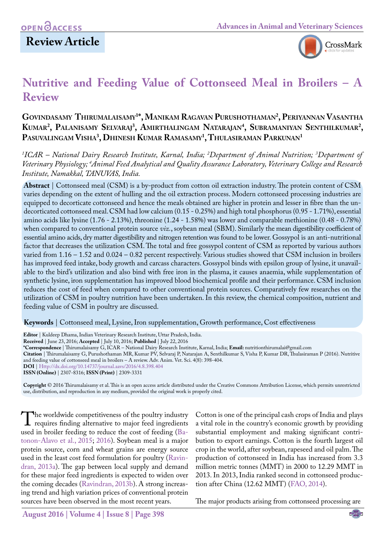## **Review Article**



# **Nutritive and Feeding Value of Cottonseed Meal in Broilers – A Review**

#### **Govindasamy Thirumalaisamy1 \*, Manikam Ragavan Purushothaman2 , Periyannan Vasantha Kumar2 , Palanisamy Selvaraj3 , Amirthalingam Natarajan4 , Subramaniyan Senthilkumar2 , Pasuvalingam Visha3 , Dhinesh Kumar Ramasamy1 , Thulasiraman Parkunan1**

*1 ICAR – National Dairy Research Institute, Karnal, India; 2 Department of Animal Nutrition; 3 Department of Veterinary Physiology; 4 Animal Feed Analytical and Quality Assurance Laboratory, Veterinary College and Research Institute, Namakkal, TANUVAS, India.*

**Abstract** | Cottonseed meal (CSM) is a by-product from cotton oil extraction industry. The protein content of CSM varies depending on the extent of hulling and the oil extraction process. Modern cottonseed processing industries are equipped to decorticate cottonseed and hence the meals obtained are higher in protein and lesser in fibre than the undecorticated cottonseed meal. CSM had low calcium (0.15 - 0.25%) and high total phosphorus (0.95 - 1.71%), essential amino acids like lysine (1.76 - 2.13%), threonine (1.24 - 1.58%) was lower and comparable methionine (0.48 - 0.78%) when compared to conventional protein source *viz.*, soybean meal (SBM). Similarly the mean digestibility coefficient of essential amino acids, dry matter digestibility and nitrogen retention was found to be lower. Gossypol is an anti-nutritional factor that decreases the utilization CSM. The total and free gossypol content of CSM as reported by various authors varied from 1.16 – 1.52 and 0.024 – 0.82 percent respectively. Various studies showed that CSM inclusion in broilers has improved feed intake, body growth and carcass characters. Gossypol binds with epsilon group of lysine, it unavailable to the bird's utilization and also bind with free iron in the plasma, it causes anaemia, while supplementation of synthetic lysine, iron supplementation has improved blood biochemical profile and their performance. CSM inclusion reduces the cost of feed when compared to other conventional protein sources. Comparatively few researches on the utilization of CSM in poultry nutrition have been undertaken. In this review, the chemical composition, nutrient and feeding value of CSM in poultry are discussed.

**Keywords** | Cottonseed meal, Lysine, Iron supplementation, Growth performance, Cost effectiveness

**Received** | June 23, 2016; **Accepted** | July 10, 2016; **Published** | July 22, 2016

**Citation** | Thirumalaisamy G, Purushothaman MR, Kumar PV, Selvaraj P, Natarajan A, Senthilkumar S, Visha P, Kumar DR, Thulasiraman P (2016). Nutritive and feeding value of cottonseed meal in broilers – A review. Adv. Anim. Vet. Sci. 4(8): 398-404.

**DOI** | <Http://dx.doi.org/10.14737/journal.aavs/2016/4.8.398.404>

**ISSN (Online)** | 2307-8316; **ISSN (Print)** | 2309-3331

**Copyright** © 2016 Thirumalaisamy et al. This is an open access article distributed under the Creative Commons Attribution License, which permits unrestricted use, distribution, and reproduction in any medium, provided the original work is properly cited.

The worldwide competitiveness of the poultry industry<br>
requires finding alternative to major feed ingredients<br>
used in broiler feeding to reduce the cost of feeding (Baused in broiler feeding to reduce the cost of feeding (Ba[tonon-Alavo et al., 2015](#page-5-0); [2016](#page-5-1)). Soybean meal is a major protein source, corn and wheat grains are energy source used in the least cost feed formulation for poultry ([Ravin](#page-6-0)[dran, 2013a\)](#page-6-0). The gap between local supply and demand for these major feed ingredients is expected to widen over the coming decades ([Ravindran, 2013b](#page-6-1)). A strong increasing trend and high variation prices of conventional protein sources have been observed in the most recent years.

Cotton is one of the principal cash crops of India and plays a vital role in the country's economic growth by providing substantial employment and making significant contribution to export earnings. Cotton is the fourth largest oil crop in the world, after soybean, rapeseed and oil palm. The production of cottonseed in India has increased from 3.3 million metric tonnes (MMT) in 2000 to 12.29 MMT in 2013. In 2013, India ranked second in cottonseed production after China (12.62 MMT) ([FAO, 2014\)](#page-5-2).

The major products arising from cottonseed processing are

**Editor** | Kuldeep Dhama, Indian Veterinary Research Institute, Uttar Pradesh, India.

**<sup>\*</sup>Correspondence** | Thirumalaisamy G, ICAR – National Dairy Research Institute, Karnal, India; **Email:** nutritionthirumalai@gmail.com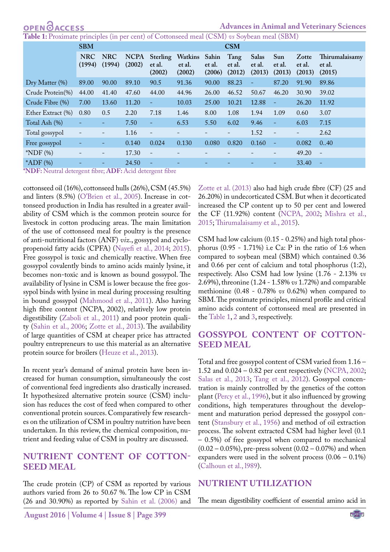**Advances in Animal and Veterinary Sciences**

<span id="page-1-0"></span>**Table 1:** Proximate principles (in per cent) of Cottonseed meal (CSM) *vs* Soybean meal (SBM)

|                   | <b>SBM</b>               |                          |                       | <b>CSM</b>                   |                                   |                  |                          |                           |                          |                           |                                    |  |  |
|-------------------|--------------------------|--------------------------|-----------------------|------------------------------|-----------------------------------|------------------|--------------------------|---------------------------|--------------------------|---------------------------|------------------------------------|--|--|
|                   | <b>NRC</b><br>(1994)     | <b>NRC</b><br>(1994)     | <b>NCPA</b><br>(2002) | Sterling<br>et al.<br>(2002) | Watkins Sahin<br>et al.<br>(2002) | et al.<br>(2006) | Tang<br>et al.<br>(2012) | Salas<br>et al.<br>(2013) | Sun<br>et al.<br>(2013)  | Zotte<br>et al.<br>(2013) | Thirumalaisamy<br>et al.<br>(2015) |  |  |
| Dry Matter (%)    | 89.00                    | 90.00                    | 89.10                 | 90.5                         | 91.36                             | 90.00            | 88.23                    | $\overline{\phantom{a}}$  | 87.20                    | 91.90                     | 89.86                              |  |  |
| Crude Protein(%)  | 44.00                    | 41.40                    | 47.60                 | 44.00                        | 44.96                             | 26.00            | 46.52                    | 50.67                     | 46.20                    | 30.90                     | 39.02                              |  |  |
| Crude Fibre (%)   | 7.00                     | 13.60                    | 11.20                 | ٠                            | 10.03                             | 25.00            | 10.21                    | 12.88                     | $\overline{\phantom{a}}$ | 26.20                     | 11.92                              |  |  |
| Ether Extract (%) | 0.80                     | 0.5                      | 2.20                  | 7.18                         | 1.46                              | 8.00             | 1.08                     | 1.94                      | 1.09                     | 0.60                      | 3.07                               |  |  |
| Total Ash (%)     | $\equiv$                 | $\qquad \qquad -$        | 7.50                  | ÷                            | 6.53                              | 5.50             | 6.02                     | 9.46                      | -                        | 6.03                      | 7.15                               |  |  |
| Total gossypol    | $\overline{\phantom{a}}$ | $\overline{\phantom{a}}$ | 1.16                  | $\qquad \qquad -$            |                                   |                  | -                        | 1.52                      | $\overline{\phantom{a}}$ | -                         | 2.62                               |  |  |
| Free gossypol     | -                        | ۰                        | 0.140                 | 0.024                        | 0.130                             | 0.080            | 0.820                    | 0.160                     | $\overline{\phantom{a}}$ | 0.082                     | 0.40                               |  |  |
| $*NDF(%)$         | $\overline{\phantom{a}}$ | $\overline{\phantom{a}}$ | 17.30                 | $\overline{\phantom{a}}$     |                                   |                  |                          |                           |                          | 49.20                     | $\overline{\phantom{a}}$           |  |  |
| $*ADF$ (%)        | ۳                        | $\overline{a}$           | 24.50                 | $\equiv$                     |                                   |                  |                          |                           |                          | 33.40                     | $\overline{\phantom{a}}$           |  |  |
| .                 |                          |                          |                       | $\sim$                       |                                   |                  |                          |                           |                          |                           |                                    |  |  |

**\*NDF:** Neutral detergent fibre; **ADF:** Acid detergent fibre

cottonseed oil (16%), cottonseed hulls (26%), CSM (45.5%) and linters (8.5%) (O'Brien et al., 2005). Increase in cottonseed production in India has resulted in a greater availability of CSM which is the common protein source for livestock in cotton producing areas. The main limitation of the use of cottonseed meal for poultry is the presence of anti-nutritional factors (ANF) *viz*., gossypol and cyclopropenoid fatty acids (CPFA) [\(Nayefi et al., 2014;](#page-5-3) [2015\)](#page-5-4). Free gossypol is toxic and chemically reactive. When free gossypol covalently binds to amino acids mainly lysine, it becomes non-toxic and is known as bound gossypol. The availability of lysine in CSM is lower because the free gossypol binds with lysine in meal during processing resulting in bound gossypol ([Mahmood et al., 2011](#page-5-5)). Also having high fibre content (NCPA, 2002), relatively low protein digestibility [\(Zaboli et al., 2011\)](#page-6-2) and poor protein quality [\(Sahin et al., 2006](#page-6-3); [Zotte et al., 2013\)](#page-6-4). The availability of large quantities of CSM at cheaper price has attracted poultry entrepreneurs to use this material as an alternative protein source for broilers [\(Heuze et al., 2013](#page-5-6)).

In recent year's demand of animal protein have been increased for human consumption, simultaneously the cost of conventional feed ingredients also drastically increased. It hypothesized alternative protein source (CSM) inclusion has reduces the cost of feed when compared to other conventional protein sources. Comparatively few researches on the utilization of CSM in poultry nutrition have been undertaken. In this review, the chemical composition, nutrient and feeding value of CSM in poultry are discussed.

#### **NUTRIENT CONTENT OF COTTON-SEED MEAL**

The crude protein (CP) of CSM as reported by various authors varied from 26 to 50.67 %. The low CP in CSM (26 and 30.90%) as reported by [Sahin et al. \(2006\)](#page-6-3) and [Zotte et al. \(2013\)](#page-6-4) also had high crude fibre (CF) (25 and 26.20%) in undecorticated CSM. But when it decorticated increased the CP content up to 50 per cent and lowered the CF (11.92%) content ([NCPA, 2002;](#page-5-7) [Mishra et al.,](#page-5-8)  [2015;](#page-5-8) [Thirumalaisamy et al., 2015\)](#page-6-5).

CSM had low calcium (0.15 - 0.25%) and high total phosphorus (0.95 - 1.71%) i.e Ca: P in the ratio of 1:6 when compared to soybean meal (SBM) which contained 0.36 and 0.66 per cent of calcium and total phosphorus (1:2), respectively. Also CSM had low lysine (1.76 - 2.13% *vs* 2.69%), threonine (1.24 - 1.58% *vs* 1.72%) and comparable methionine (0.48 - 0.78% *vs* 0.62%) when compared to SBM. The proximate principles, mineral profile and critical amino acids content of cottonseed meal are presented in the [Table 1,](#page-1-0) [2](#page-2-0) and [3,](#page-2-1) respectively.

#### **GOSSYPOL CONTENT OF COTTON-SEED MEAL**

Total and free gossypol content of CSM varied from 1.16 – 1.52 and 0.024 – 0.82 per cent respectively [\(NCPA, 2002](#page-5-7); [Salas et al., 2013](#page-6-6); [Tang et al., 2012](#page-6-7)). Gossypol concentration is mainly controlled by the genetics of the cotton plant ([Percy et al., 1996](#page-6-8)), but it also influenced by growing conditions, high temperatures throughout the development and maturation period depressed the gossypol content [\(Stansbury et al., 1956\)](#page-6-9) and method of oil extraction process. The solvent extracted CSM had higher level (0.1 – 0.5%) of free gossypol when compared to mechanical  $(0.02 - 0.05\%)$ , pre-press solvent  $(0.02 - 0.07\%)$  and when expanders were used in the solvent process  $(0.06 - 0.1\%)$ [\(Calhoun et al., l989\)](#page-5-9).

#### **NUTRIENT UTILIZATION**

The mean digestibility coefficient of essential amino acid in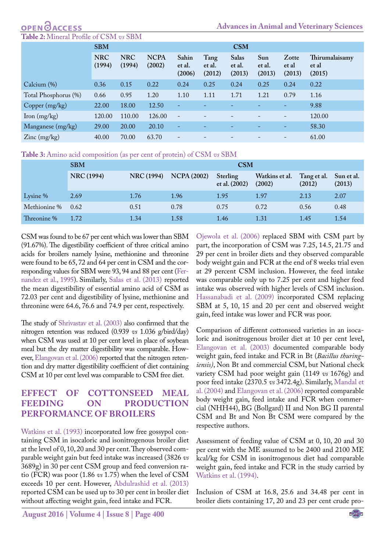# **OPEN**GACCESS

<span id="page-2-0"></span>**Table 2:** Mineral Profile of CSM *vs* SBM

|                       | <b>SBM</b>           |                      |                       |                           |                          | <b>CSM</b>                |                         |                          |                                   |
|-----------------------|----------------------|----------------------|-----------------------|---------------------------|--------------------------|---------------------------|-------------------------|--------------------------|-----------------------------------|
|                       | <b>NRC</b><br>(1994) | <b>NRC</b><br>(1994) | <b>NCPA</b><br>(2002) | Sahin<br>et al.<br>(2006) | Tang<br>et al.<br>(2012) | Salas<br>et al.<br>(2013) | Sun<br>et al.<br>(2013) | Zotte<br>et al<br>(2013) | Thirumalaisamy<br>et al<br>(2015) |
| Calcium (%)           | 0.36                 | 0.15                 | 0.22                  | 0.24                      | 0.25                     | 0.24                      | 0.25                    | 0.24                     | 0.22                              |
| Total Phosphorus (%)  | 0.66                 | 0.95                 | 1.20                  | 1.10                      | 1.11                     | 1.71                      | 1.21                    | 0.79                     | 1.16                              |
| Copper (mg/kg)        | 22.00                | 18.00                | 12.50                 | ٠                         |                          |                           |                         | $\overline{\phantom{0}}$ | 9.88                              |
| Iron $(mg/kg)$        | 120.00               | 110.00               | 126.00                | $\overline{\phantom{a}}$  |                          |                           |                         |                          | 120.00                            |
| Manganese (mg/kg)     | 29.00                | 20.00                | 20.10                 | ٠                         |                          |                           |                         | -                        | 58.30                             |
| $\text{Zinc}$ (mg/kg) | 40.00                | 70.00                | 63.70                 | $\overline{\phantom{a}}$  |                          |                           |                         | $\qquad \qquad -$        | 61.00                             |

<span id="page-2-1"></span>**Table 3:** Amino acid composition (as per cent of protein) of CSM *vs* SBM

|              | <b>SBM</b>        |                   | <b>CSM</b>         |                           |                          |                       |                      |  |  |  |  |
|--------------|-------------------|-------------------|--------------------|---------------------------|--------------------------|-----------------------|----------------------|--|--|--|--|
|              | <b>NRC</b> (1994) | <b>NRC</b> (1994) | <b>NCPA (2002)</b> | Sterling<br>et al. (2002) | Watkins et al.<br>(2002) | Tang et al.<br>(2012) | Sun et al.<br>(2013) |  |  |  |  |
| Lysine %     | 2.69              | 1.76              | 1.96               | 1.95                      | 1.97                     | 2.13                  | 2.07                 |  |  |  |  |
| Methionine % | 0.62              | 0.51              | 0.78               | 0.75                      | 0.72                     | 0.56                  | 0.48                 |  |  |  |  |
| Threonine %  | 1.72              | 1.34              | 1.58               | 1.46                      | 1.31                     | 1.45                  | 1.54                 |  |  |  |  |

CSM was found to be 67 per cent which was lower than SBM (91.67%). The digestibility coefficient of three critical amino acids for broilers namely lysine, methionine and threonine were found to be 65, 72 and 64 per cent in CSM and the corresponding values for SBM were 93, 94 and 88 per cent [\(Fer](#page-5-10)[nandez et al., 1995\)](#page-5-10). Similarly, [Salas et al. \(2013\)](#page-6-6) reported the mean digestibility of essential amino acid of CSM as 72.03 per cent and digestibility of lysine, methionine and threonine were 64.6, 76.6 and 74.9 per cent, respectively.

The study of [Shrivastav et al. \(2003\)](#page-6-10) also confirmed that the nitrogen retention was reduced (0.939 *vs* 1.036 g/bird/day) when CSM was used at 10 per cent level in place of soybean meal but the dry matter digestibility was comparable. However, [Elangovan et al. \(2006\)](#page-5-11) reported that the nitrogen retention and dry matter digestibility coefficient of diet containing CSM at 10 per cent level was comparable to CSM free diet.

#### **EFFECT OF COTTONSEED MEAL FEEDING ON PRODUCTION PERFORMANCE OF BROILERS**

[Watkins et al. \(1993\)](#page-6-11) incorporated low free gossypol containing CSM in isocaloric and isonitrogenous broiler diet at the level of 0, 10, 20 and 30 per cent. They observed comparable weight gain but feed intake was increased (3826 *vs* 3689g) in 30 per cent CSM group and feed conversion ratio (FCR) was poor (1.86 *vs* 1.75) when the level of CSM exceeds 10 per cent. However, [Abdulrashid et al. \(2013\)](#page-5-12) reported CSM can be used up to 30 per cent in broiler diet without affecting weight gain, feed intake and FCR.

[Ojewola et al. \(2006\)](#page-6-12) replaced SBM with CSM part by part, the incorporation of CSM was 7.25, 14.5, 21.75 and 29 per cent in broiler diets and they observed comparable body weight gain and FCR at the end of 8 weeks trial even at 29 percent CSM inclusion. However, the feed intake was comparable only up to 7.25 per cent and higher feed intake was observed with higher levels of CSM inclusion. [Hassanabadi et al. \(2009\)](#page-5-13) incorporated CSM replacing SBM at 5, 10, 15 and 20 per cent and observed weight gain, feed intake was lower and FCR was poor.

Comparison of different cottonseed varieties in an isocaloric and isonitrogenous broiler diet at 10 per cent level, [Elangovan et al. \(2003\)](#page-5-14) documented comparable body weight gain, feed intake and FCR in Bt (*Bacillus thuringiensis)*, Non Bt and commercial CSM, but National check variety CSM had poor weight gain (1149 *vs* 1676g) and poor feed intake (2370.5 *vs* 3472.4g). Similarly, [Mandal et](#page-5-15)  [al. \(2004\)](#page-5-15) and [Elangovan et al. \(2006\)](#page-5-11) reported comparable body weight gain, feed intake and FCR when commercial (NHH44), BG (Bollgard) II and Non BG II parental CSM and Bt and Non Bt CSM were compared by the respective authors.

Assessment of feeding value of CSM at 0, 10, 20 and 30 per cent with the ME assumed to be 2400 and 2100 ME kcal/kg for CSM in isonitrogenous diet had comparable weight gain, feed intake and FCR in the study carried by [Watkins et al. \(1994\).](#page-6-13)

Inclusion of CSM at 16.8, 25.6 and 34.48 per cent in broiler diets containing 17, 20 and 23 per cent crude pro-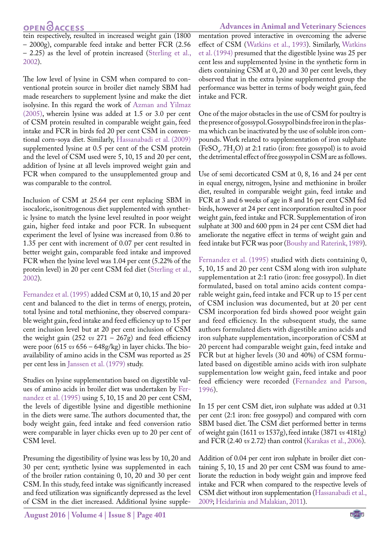#### **OPEN**OACCESS

tein respectively, resulted in increased weight gain (1800 – 2000g), comparable feed intake and better FCR (2.56 – 2.25) as the level of protein increased ([Sterling et al.,](#page-6-14) [2002](#page-6-14)).

The low level of lysine in CSM when compared to conventional protein source in broiler diet namely SBM had made researchers to supplement lysine and make the diet isolysine. In this regard the work of [Azman and Yilmaz](#page-5-16) [\(2005\),](#page-5-16) wherein lysine was added at 1.5 or 3.0 per cent of CSM protein resulted in comparable weight gain, feed intake and FCR in birds fed 20 per cent CSM in conventional corn-soya diet. Similarly, [Hassanabadi et al. \(2009\)](#page-5-13) supplemented lysine at 0.5 per cent of the CSM protein and the level of CSM used were 5, 10, 15 and 20 per cent, addition of lysine at all levels improved weight gain and FCR when compared to the unsupplemented group and was comparable to the control.

Inclusion of CSM at 25.64 per cent replacing SBM in isocaloric, isonitrogenous diet supplemented with synthetic lysine to match the lysine level resulted in poor weight gain, higher feed intake and poor FCR. In subsequent experiment the level of lysine was increased from 0.86 to 1.35 per cent with increment of 0.07 per cent resulted in better weight gain, comparable feed intake and improved FCR when the lysine level was 1.04 per cent (5.22% of the protein level) in 20 per cent CSM fed diet [\(Sterling et al.,](#page-6-14) [2002](#page-6-14)).

[Fernandez et al. \(1995\)](#page-5-10) added CSM at 0, 10, 15 and 20 per cent and balanced to the diet in terms of energy, protein, total lysine and total methionine, they observed comparable weight gain, feed intake and feed efficiency up to 15 per cent inclusion level but at 20 per cent inclusion of CSM the weight gain (252 *vs* 271 – 267g) and feed efficiency were poor (615 *vs* 656 – 648g/kg) in layer chicks. The bioavailability of amino acids in the CSM was reported as 25 per cent less in [Janssen et al. \(1979\)](#page-5-17) study.

Studies on lysine supplementation based on digestible values of amino acids in broiler diet was undertaken by [Fer](#page-5-10)[nandez et al. \(1995\)](#page-5-10) using 5, 10, 15 and 20 per cent CSM, the levels of digestible lysine and digestible methionine in the diets were same. The authors documented that, the body weight gain, feed intake and feed conversion ratio were comparable in layer chicks even up to 20 per cent of CSM level.

Presuming the digestibility of lysine was less by 10, 20 and 30 per cent; synthetic lysine was supplemented in each of the broiler ration containing 0, 10, 20 and 30 per cent CSM. In this study, feed intake was significantly increased and feed utilization was significantly depressed as the level of CSM in the diet increased. Additional lysine supple-

#### **Advances in Animal and Veterinary Sciences**

mentation proved interactive in overcoming the adverse effect of CSM ([Watkins et al., 1993\)](#page-6-11). Similarly, [Watkins](#page-6-13) [et al. \(1994\)](#page-6-13) presumed that the digestible lysine was 25 per cent less and supplemented lysine in the synthetic form in diets containing CSM at 0, 20 and 30 per cent levels, they observed that in the extra lysine supplemented group the performance was better in terms of body weight gain, feed intake and FCR.

One of the major obstacles in the use of CSM for poultry is the presence of gossypol. Gossypol binds free iron in the plasma which can be inactivated by the use of soluble iron compounds. Work related to supplementation of iron sulphate  $(FesO<sub>4</sub>, 7H<sub>2</sub>O)$  at 2:1 ratio (iron: free gossypol) is to avoid the detrimental effect of free gossypol in CSM are as follows.

Use of semi decorticated CSM at 0, 8, 16 and 24 per cent in equal energy, nitrogen, lysine and methionine in broiler diet, resulted in comparable weight gain, feed intake and FCR at 3 and 6 weeks of age in 8 and 16 per cent CSM fed birds, however at 24 per cent incorporation resulted in poor weight gain, feed intake and FCR. Supplementation of iron sulphate at 300 and 600 ppm in 24 per cent CSM diet had ameliorate the negative effect in terms of weight gain and feed intake but FCR was poor [\(Boushy and Raterink, 1989\)](#page-5-18).

[Fernandez et al. \(1995\)](#page-5-10) studied with diets containing 0, 5, 10, 15 and 20 per cent CSM along with iron sulphate supplementation at 2:1 ratio (iron: free gossypol). In diet formulated, based on total amino acids content comparable weight gain, feed intake and FCR up to 15 per cent of CSM inclusion was documented, but at 20 per cent CSM incorporation fed birds showed poor weight gain and feed efficiency. In the subsequent study, the same authors formulated diets with digestible amino acids and iron sulphate supplementation, incorporation of CSM at 20 percent had comparable weight gain, feed intake and FCR but at higher levels (30 and 40%) of CSM formulated based on digestible amino acids with iron sulphate supplementation low weight gain, feed intake and poor feed efficiency were recorded ([Fernandez and Parson,](#page-5-19) [1996](#page-5-19)).

In 15 per cent CSM diet, iron sulphate was added at 0.31 per cent (2:1 iron: free gossypol) and compared with corn SBM based diet. The CSM diet performed better in terms of weight gain (1611 *vs* 1537g), feed intake (3871 *vs* 4181g) and FCR (2.40 *vs* 2.72) than control ([Karakas et al., 2006](#page-5-20)).

Addition of 0.04 per cent iron sulphate in broiler diet containing 5, 10, 15 and 20 per cent CSM was found to ameliorate the reduction in body weight gain and improve feed intake and FCR when compared to the respective levels of CSM diet without iron supplementation ([Hassanabadi et al.,](#page-5-13) [2009;](#page-5-13) [Heidarinia and Malakian, 2011\)](#page-5-21).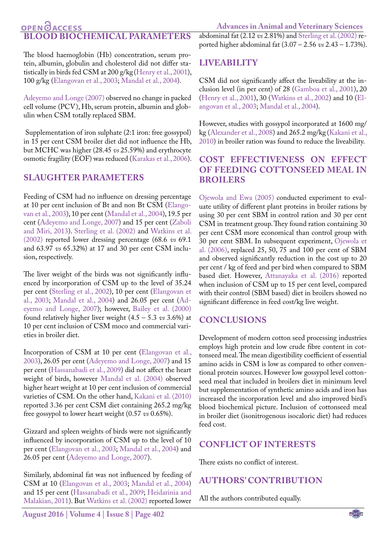#### **Advances in Animal and Veterinary Sciences**

#### **OPEN GACCESS BLOOD BIOCHEMICAL PARAMETERS**

The blood haemoglobin (Hb) concentration, serum protein, albumin, globulin and cholesterol did not differ statistically in birds fed CSM at 200 g/kg [\(Henry et al., 2001](#page-5-22)), 100 g/kg ([Elangovan et al., 2003;](#page-5-14) [Mandal et al., 2004](#page-5-15)).

[Adeyemo and Longe \(2007\)](#page-5-23) observed no change in packed cell volume (PCV), Hb, serum protein, albumin and globulin when CSM totally replaced SBM.

 Supplementation of iron sulphate (2:1 iron: free gossypol) in 15 per cent CSM broiler diet did not influence the Hb, but MCHC was higher (28.45 *vs* 25.59%) and erythrocyte osmotic fragility (EOF) was reduced ([Karakas et al., 2006](#page-5-20)).

#### **SLAUGHTER PARAMETERS**

Feeding of CSM had no influence on dressing percentage at 10 per cent inclusion of Bt and non Bt CSM ([Elango](#page-5-14)[van et al., 2003](#page-5-14)), 10 per cent ([Mandal et al., 2004](#page-5-15)), 19.5 per cent [\(Adeyemo and Longe, 2007](#page-5-23)) and 15 per cent ([Zaboli](#page-6-15)  [and Miri, 2013](#page-6-15)). [Sterling et al. \(2002\)](#page-6-14) and [Watkins et al.](#page-6-16)  [\(2002\)](#page-6-16) reported lower dressing percentage (68.6 *vs* 69.1 and 63.97 *vs* 65.32%) at 17 and 30 per cent CSM inclusion, respectively.

The liver weight of the birds was not significantly influenced by incorporation of CSM up to the level of 35.24 per cent [\(Sterling et al., 2002\)](#page-6-14), 10 per cent [\(Elangovan et](#page-5-14)  [al., 2003;](#page-5-14) [Mandal et al., 2004](#page-5-15)) and 26.05 per cent ([Ad](#page-5-23)[eyemo and Longe, 2007](#page-5-23)); however, [Bailey et al. \(2000\)](#page-5-24) found relatively higher liver weight (4.5 – 5.3 *vs* 3.6%) at 10 per cent inclusion of CSM moco and commercial varieties in broiler diet.

Incorporation of CSM at 10 per cent [\(Elangovan et al.,](#page-5-14) [2003](#page-5-14)), 26.05 per cent ([Adeyemo and Longe, 2007\)](#page-5-23) and 15 per cent ([Hassanabadi et al., 2009\)](#page-5-13) did not affect the heart weight of birds, however [Mandal et al. \(2004\)](#page-5-15) observed higher heart weight at 10 per cent inclusion of commercial varieties of CSM. On the other hand, [Kakani et al. \(2010\)](#page-5-25) reported 3.36 per cent CSM diet containing 265.2 mg/kg free gossypol to lower heart weight (0.57 *vs* 0.65%).

Gizzard and spleen weights of birds were not significantly influenced by incorporation of CSM up to the level of 10 per cent [\(Elangovan et al., 2003](#page-5-14); [Mandal et al., 2004](#page-5-15)) and 26.05 per cent [\(Adeyemo and Longe, 2007](#page-5-23)).

Similarly, abdominal fat was not influenced by feeding of CSM at 10 [\(Elangovan et al., 2003;](#page-5-14) [Mandal et al., 2004](#page-5-15)) and 15 per cent ([Hassanabadi et al., 2009](#page-5-13); [Heidarinia and](#page-5-21)  [Malakian, 2011\)](#page-5-21). But [Watkins et al. \(2002\)](#page-6-16) reported lower

abdominal fat (2.12 *vs* 2.81%) and [Sterling et al. \(2002\)](#page-6-14) reported higher abdominal fat (3.07 – 2.56 *vs* 2.43 – 1.73%).

### **LIVEABILITY**

CSM did not significantly affect the liveability at the inclusion level (in per cent) of 28 ([Gamboa et al., 2001](#page-5-26)), 20 ([Henry et al., 2001\)](#page-5-22), 30 ([Watkins et al., 2002](#page-6-16)) and 10 [\(El](#page-5-14)[angovan et al., 2003;](#page-5-14) [Mandal et al., 2004](#page-5-15)).

However, studies with gossypol incorporated at 1600 mg/ kg ([Alexander et al., 2008](#page-5-27)) and 265.2 mg/kg ([Kakani et al.,](#page-5-25)  [2010\)](#page-5-25) in broiler ration was found to reduce the liveability.

#### **COST EFFECTIVENESS ON EFFECT OF FEEDING COTTONSEED MEAL IN BROILERS**

[Ojewola and Ewa \(2005\)](#page-6-17) conducted experiment to evaluate utility of different plant proteins in broiler rations by using 30 per cent SBM in control ration and 30 per cent CSM in treatment group. They found ration containing 30 per cent CSM more economical than control group with 30 per cent SBM. In subsequent experiment, [Ojewola et](#page-6-12)  [al. \(2006\),](#page-6-12) replaced 25, 50, 75 and 100 per cent of SBM and observed significantly reduction in the cost up to 20 per cent / kg of feed and per bird when compared to SBM based diet. However, [Attanayaka et al. \(2016\)](#page-5-28) reported when inclusion of CSM up to 15 per cent level, compared with their control (SBM based) diet in broilers showed no significant difference in feed cost/kg live weight.

#### **CONCLUSIONS**

Development of modern cotton seed processing industries employs high protein and low crude fibre content in cottonseed meal. The mean digestibility coefficient of essential amino acids in CSM is low as compared to other conventional protein sources. However low gossypol level cottonseed meal that included in broilers diet in minimum level but supplementation of synthetic amino acids and iron has increased the incorporation level and also improved bird's blood biochemical picture. Inclusion of cottonseed meal in broiler diet (isonitrogenous isocaloric diet) had reduces feed cost.

#### **CONFLICT OF INTERESTS**

There exists no conflict of interest.

#### **AUTHORS' CONTRIBUTION**

All the authors contributed equally.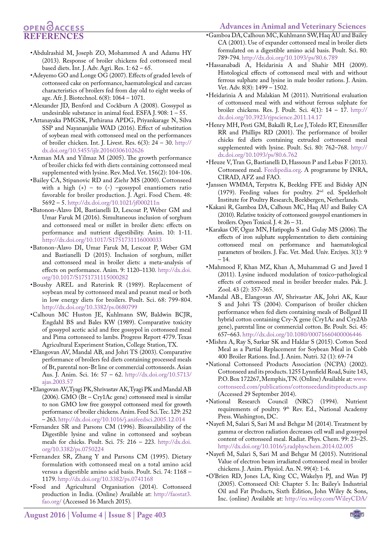#### <span id="page-5-26"></span>**Advances in Animal and Veterinary Sciences**

## **OPENOACCESS REFERENCES**

- <span id="page-5-12"></span>•Abdulrashid M, Joseph ZO, Mohammed A and Adamu HY (2013). Response of broiler chickens fed cottonseed meal based diets. Int. J. Adv. Agri. Res. 1: 62 – 65.
- <span id="page-5-23"></span>•Adeyemo GO and Longe OG (2007). Effects of graded levels of cottonseed cake on performance, haematological and carcass characteristics of broilers fed from day old to eight weeks of age. Afr. J. Biotechnol. 6(8): 1064 – 1071.
- <span id="page-5-27"></span>•Alexander JD, Benford and Cockburn A (2008). Gossypol as undesirable substance in animal feed. ESFA J. 908: 1 – 55.
- <span id="page-5-28"></span>•Attanayaka PMGSK, Pathirana APDG, Priyankarage N, Silva SSP and Nayananjalie WAD (2016). Effect of substitution of soybean meal with cottonseed meal on the performances of broiler chicken. Int. J. Livest. Res. 6(3): 24 – 30. [http://](http://dx.doi.org/10.5455/ijlr.20160306102626) [dx.doi.org/10.5455/ijlr.20160306102626](http://dx.doi.org/10.5455/ijlr.20160306102626)
- <span id="page-5-16"></span>•Azman MA and Yilmaz M (2005). The growth performance of broiler chicks fed with diets containing cottonseed meal supplemented with lysine. Rev. Med. Vet. 156(2): 104-106.
- <span id="page-5-24"></span>•Bailey CA, Stipanovic RD and Ziehr MS (2000). Cottonseed with a high  $(+)$  – to  $(-)$  –gossypol enantiomers ratio favorable for broiler production. J. Agri. Food Chem. 48: 5692 – 5.<http://dx.doi.org/10.1021/jf000211n>
- <span id="page-5-1"></span>•Batonon-Alavo DI, Bastianelli D, Lescoat P, Weber GM and Umar Faruk M (2016). Simultaneous inclusion of sorghum and cottonseed meal or millet in broiler diets: effects on performance and nutrient digestibility. Anim. 10: 1-11. <http://dx.doi.org/10.1017/S1751731116000033>
- <span id="page-5-0"></span>•Batonon-Alavo DI, Umar Faruk M, Lescoat P, Weber GM and Bastianelli D (2015). Inclusion of sorghum, millet and cottonseed meal in broiler diets: a meta-analysis of effects on performance. Anim. 9: 1120–1130. [http://dx.doi.](http://dx.doi.org/10.1017/S1751731115000282) [org/10.1017/S1751731115000282](http://dx.doi.org/10.1017/S1751731115000282)
- <span id="page-5-18"></span>•Boushy AREL and Raterink R (1989). Replacement of soybean meal by cottonseed meal and peanut meal or both in low energy diets for broilers. Poult. Sci. 68: 799-804. <http://dx.doi.org/10.3382/ps.0680799>
- <span id="page-5-9"></span>•Calhoun MC Huston JE, Kuhlmann SW, Baldwin BCJR, Engdahl BS and Bales KW (1989). Comparative toxicity of gossypol acetic acid and free gossypol in cottonseed meal and Pima cottonseed to lambs. Progress Report 4779. Texas Agricultural Experiment Station, College Station, TX.
- <span id="page-5-14"></span>•Elangovan AV, Mandal AB, and Johri TS (2003). Comparative performance of broilers fed diets containing processed meals of Bt, parental non-Bt line or commercial cottonseeds. Asian Aus. J. Anim. Sci. 16: 57 – 62. [http://dx.doi.org/10.5713/](http://dx.doi.org/10.5713/ajas.2003.57) [ajas.2003.57](http://dx.doi.org/10.5713/ajas.2003.57)
- <span id="page-5-11"></span>•Elangovan AV, Tyagi PK, Shrivastav AK, Tyagi PK and Mandal AB (2006). GMO (Bt – Cry1Ac gene) cottonseed meal is similar to non GMO low free gossypol cottonseed meal for growth performance of broiler chickens. Anim. Feed Sci. Tec. 129: 252 – 263.<http://dx.doi.org/10.1016/j.anifeedsci.2005.12.014>
- <span id="page-5-19"></span>•Fernandez SR and Parsons CM (1996). Bioavailability of the Digestible lysine and valine in cottonseed and soybean meals for chicks. Poult. Sci. 75: 216 – 223. [http://dx.doi.](http://dx.doi.org/10.3382/ps.0750224) [org/10.3382/ps.0750224](http://dx.doi.org/10.3382/ps.0750224)
- <span id="page-5-10"></span>•Fernandez SR, Zhang Y and Parsons CM (1995). Dietary formulation with cottonseed meal on a total amino acid versus a digestible amino acid basis. Poult. Sci. 74: 1168 – 1179.<http://dx.doi.org/10.3382/ps.0741168>
- <span id="page-5-2"></span>•Food and Agricultural Organisation (2014). Cottonseed production in India. (Online) Available at: [http://faostat3.](http://faostat3.fao.org/) [fao.org/](http://faostat3.fao.org/) (Accessed 16 March 2015).
- •Gamboa DA, Calhoun MC, Kuhlmann SW, Haq AU and Bailey CA (2001). Use of expander cottonseed meal in broiler diets formulated on a digestible amino acid basis. Poult. Sci. 80: 789-794.<http://dx.doi.org/10.1093/ps/80.6.789>
- <span id="page-5-13"></span>•Hassanabadi A, Heidarinia A and Shahir MH (2009). Histological effects of cottonseed meal with and without ferrous sulphate and lysine in male broiler rations. J. Anim. Vet. Adv. 8(8): 1499 – 1502.
- <span id="page-5-21"></span>•Heidarinia A and Malakian M (2011). Nutritional evaluation of cottonseed meal with and without ferrous sulphate for broiler chickens. Res. J. Poult. Sci. 4(1): 14 – 17. [http://](http://dx.doi.org/10.3923/rjpscience.2011.14.17) [dx.doi.org/10.3923/rjpscience.2011.14.17](http://dx.doi.org/10.3923/rjpscience.2011.14.17)
- <span id="page-5-22"></span>•Henry MH, Pesti GM, Bakalli R, Lee J, Toledo RT, Eitenmiller RR and Phillips RD (2001). The performance of broiler chicks fed diets containing extruded cottonseed meal supplemented with lysine. Poult. Sci. 80: 762–768. [http://](http://dx.doi.org/10.1093/ps/80.6.762) [dx.doi.org/10.1093/ps/80.6.762](http://dx.doi.org/10.1093/ps/80.6.762)
- <span id="page-5-6"></span>•Heuze V, Tran G, Bastianelli D, Hassoun P and Lebas F (2013). Cottonseed meal. <Feedipedia.org>. A programme by INRA, CIRAD, AFZ and FAO.
- <span id="page-5-17"></span>•Janssen WMMA, Terpstra K, Beeklng FFE and Bidsky AJN (1979). Feeding values for poultry. 2nd ed. Spelderholt Institute for Poultry Research, Beekbergen, Netherlands.
- <span id="page-5-25"></span>•Kakani R, Gamboa DA, Calhoun MC, Haq AU and Bailey CA (2010). Relative toxicity of cottonseed gossypol enantiomers in broilers. Open Toxicol. J. 4: 26 – 31.
- <span id="page-5-20"></span>•Karakas OF, Oguz MN, Hatipoglu S and Gulay MS (2006). The effects of iron sulphate supplementation to diets containing cottonseed meal on performance and haematological parameters of broilers. J. Fac. Vet. Med. Univ. Erciyes. 3(1): 9 – 14.
- <span id="page-5-5"></span>•Mahmood F, Khan MZ, Khan A, Muhammad G and Javed I (2011). Lysine induced modulation of toxico-pathological effects of cottonseed meal in broiler breeder males. Pak. J. Zool. 43 (2): 357-365.
- <span id="page-5-15"></span>•Mandal AB., Elangovan AV, Shrivastav AK, Johri AK, Kaur S and Johri TS (2004). Comparison of broiler chicken performance when fed diets containing meals of Bollgard II hybrid cotton containing Cry-X gene (Cry1Ac and Cry2Ab gene), parental line or commercial cotton. Br. Poult. Sci. 45: 657–663.<http://dx.doi.org/10.1080/00071660400006446>
- <span id="page-5-8"></span>•Mishra A, Ray S, Sarkar SK and Haldar S (2015). Cotton Seed Meal as a Partial Replacement for Soybean Meal in Cobb 400 Broiler Rations. Ind. J. Anim. Nutri. 32 (1): 69-74
- <span id="page-5-7"></span>•National Cottonseed Products Association (NCPA) (2002). Cottonseed and its products. 1255 Lynnfield Road, Suite 143, P.O. Box 172267, Memphis, TN. (Online) Available at: [www.](www.cottonseed.com/publications/cottonseedanditsproducts.asp) [cottonseed.com/publications/cottonseedanditsproducts.asp](www.cottonseed.com/publications/cottonseedanditsproducts.asp) (Accessed 29 September 2014).
- •National Research Council (NRC) (1994). Nutrient requirements of poultry. 9<sup>th</sup> Rev. Ed., National Academy Press. Washington, DC.
- <span id="page-5-3"></span>•Nayefi M, Salari S, Sari M and Behgar M (2014). Treatment by gamma or electron radiation decreases cell wall and gossypol content of cottonseed meal. Radiat. Phys. Chem. 99: 23–25. <http://dx.doi.org/10.1016/j.radphyschem.2014.02.005>
- <span id="page-5-4"></span>•Nayefi M, Salari S, Sari M and Behgar M (2015). Nutritional Value of electron beam irradiated cottonseed meal in broiler chickens. J. Anim. Physiol. An. N. 99(4): 1-6.
- •O'Brien RD, Jones LA, King CC, Wakelyn PJ, and Wan PJ (2005). Cottonseed Oil: Chapter 5. In: Bailey's Industrial Oil and Fat Products, Sixth Edition, John Wiley & Sons, Inc. (online) Available at: [http://eu.wiley.com/WileyCDA/](http://eu.wiley.com/WileyCDA/WileyTitle/productCd-0471384607)

**August 2016 | Volume 4 | Issue 8 | Page 403**